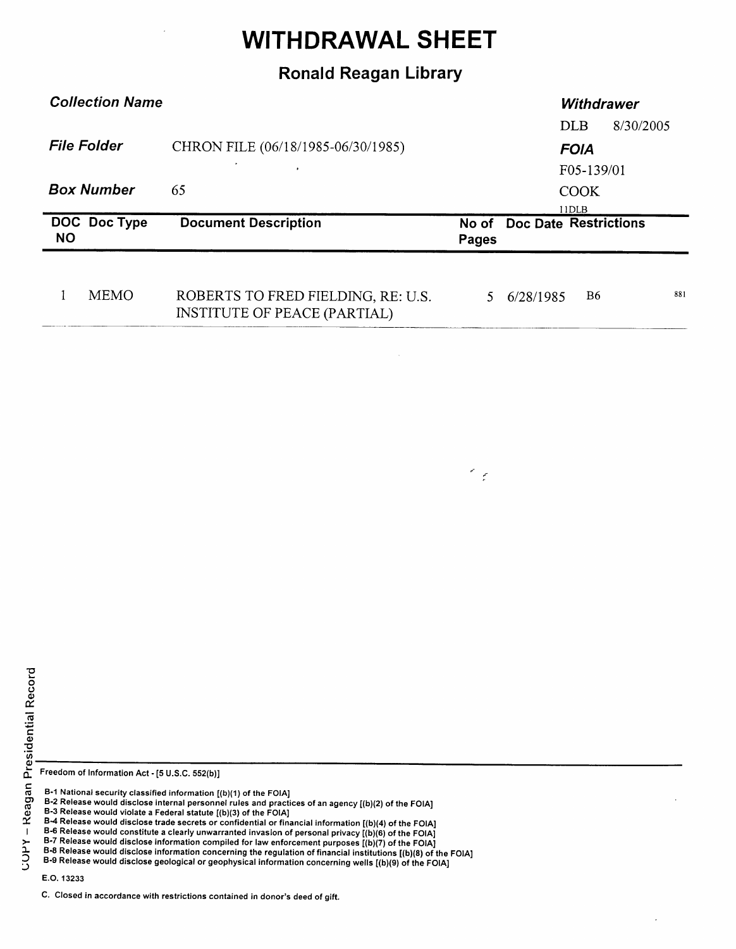## WITHDRAWAL SHEET

## Ronald Reagan Library

| <b>Collection Name</b>                  |              |                                    | <b>Withdrawer</b>         |                             |            |           |  |
|-----------------------------------------|--------------|------------------------------------|---------------------------|-----------------------------|------------|-----------|--|
|                                         |              |                                    |                           |                             | <b>DLB</b> | 8/30/2005 |  |
| <b>File Folder</b><br><b>Box Number</b> |              | CHRON FILE (06/18/1985-06/30/1985) | <b>FOIA</b>               |                             |            |           |  |
|                                         |              | 65                                 | F05-139/01<br><b>COOK</b> |                             |            |           |  |
|                                         |              |                                    |                           |                             |            |           |  |
|                                         |              |                                    |                           |                             | 11DLB      |           |  |
| <b>NO</b>                               | DOC Doc Type | <b>Document Description</b>        |                           | No of Doc Date Restrictions |            |           |  |
|                                         |              |                                    | Pages                     |                             |            |           |  |
|                                         |              |                                    |                           |                             |            |           |  |

 $\leq_{\varepsilon}$ 

Freedom of Information Act - [5 U.S.C. 552(b)]

B-1 National security classified information [(b)(1) of the FOIA]

B-3 Release would violate a Federal statute [(b)(3) of the FOIA]

B-6 Release would constitute a clearly unwarranted invasion of personal privacy [(b)(6) of the FOIA<br>B-7 Release would disclose information compiled for law enforcement purposes [(b)(7) of the FOIA

E.O. 13233

B-2 Release would disclose internal personnel rules and practices of an agency [(b)(2) of the FOIA]

B-4 Release would disclose trade secrets or confidential or financial information [(b)(4) of the FOIA]

B-8 Release would disclose information concerning the regulation of financial institutions [(b)(8) of the FOIA] B-9 Release would disclose geological or geophysical information concerning wells [(b)(9) of the FOIA]

C. Closed in accordance with restrictions contained in donor's deed of gift.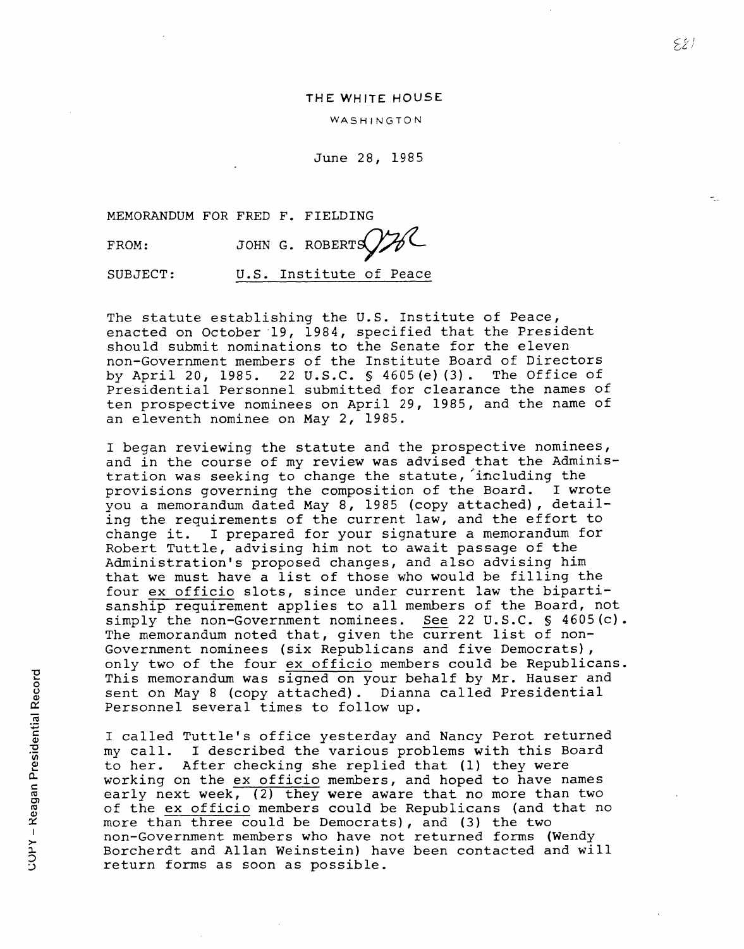## THE WHITE HOUSE

## WASHINGTON

June 28, 1985

MEMORANDUM FOR FRED F. FIELDING

FROM: JOHN G. ROBERTS  $\mathcal{Y}$ 

SUBJECT: U.S. Institute of Peace

The statute establishing the U.S. Institute of Peace, enacted on October-49, 1984, specified that the President should submit nominations to the Senate for the eleven non-Government members of the Institute Board of Directors<br>by April 20, 1985. 22 U.S.C. § 4605(e)(3). The Office of by April 20, 1985. 22 U.S.C.  $\frac{1}{5}$  4605 (e) (3). Presidential Personnel submitted for clearance the names of ten prospective nominees on April 29, 1985, and the name of an eleventh nominee on May 2, 1985.

I began reviewing the statute and the prospective nominees, and in the course of my review was advised that the Administration was seeking to change the statute, 'including the provisions governing the composition of the Board. I wrote you a memorandum dated May 8, 1985 (copy attached), detailing the requirements of the current law, and the effort to change it. I prepared for your signature a memorandum for Robert Tuttle, advising him not to await passage of the Administration's proposed changes, and also advising him that we must have a list of those who would be filling the four ex officio slots, since under current law the bipartisanship requirement applies to all members of the Board, not simply the non-Government nominees. See 22 U.S.C. § 4605(c). The memorandum noted that, given the current list of non-Government nominees (six Republicans and five Democrats), only two of the four ex officio members could be Republicans. This memorandum was signed on your behalf by Mr. Hauser and sent on May 8 (copy attached). Dianna called Presidential Personnel several times to follow up.

I called Tuttle's office yesterday and Nancy Perot returned my call. I described the various problems with this Board to her. After checking she replied that (1) they were working on the ex officio members, and hoped to have names early next week, (2) they were aware that no more than two of the ex officio members could be Republicans (and that no more than three could be Democrats), and (3) the two non-Government members who have not returned forms (Wendy Borcherdt and Allan Weinstein) have been contacted and will return forms as soon as possible.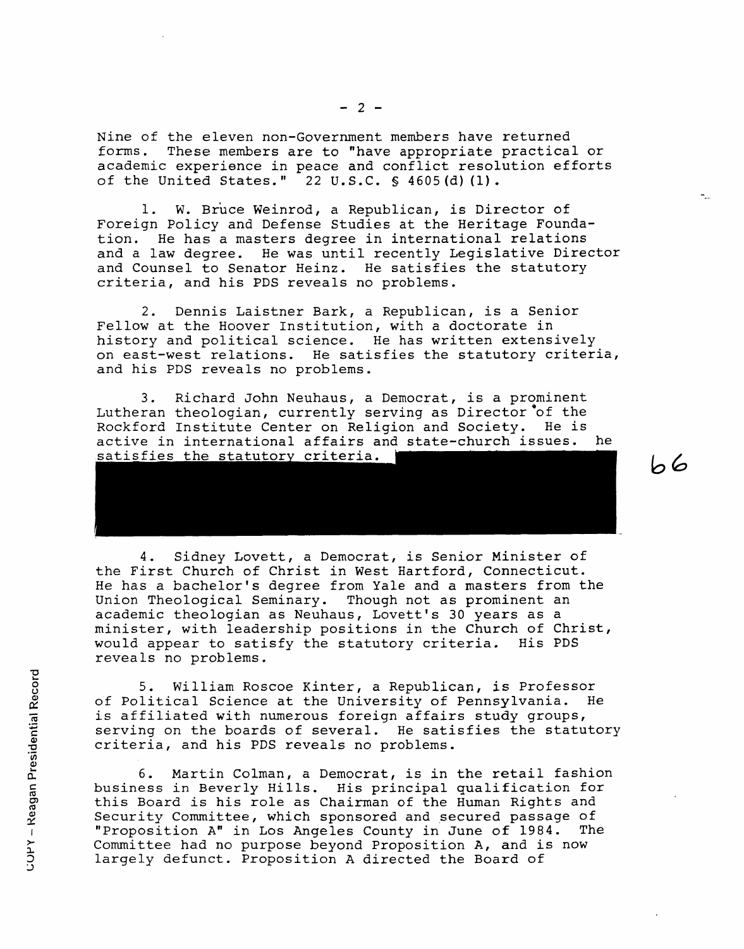Nine of the eleven non-Government members have returned forms. These members are to "have appropriate practical or academic experience in peace and conflict resolution efforts of the United States."  $22 \text{ U.S.C. }$  \$ 4605(d)(1).

1. W. Bruce Weinrod, a Republican, is Director of Foreign Policy and Defense Studies at the Heritage Foundation. He has a masters degree in international relations and a law degree. He was until recently Legislative Director and Counsel to Senator Heinz. He satisfies the statutory criteria, and his PDS reveals no problems.

2. Dennis Laistner Bark, a Republican, is a Senior Fellow at the Hoover Institution, with a doctorate in history and political science. He has written extensively on east-west relations. He satisfies the statutory criteria, and his PDS reveals no problems.

3. Richard John Neuhaus, a Democrat, is a prominent Lutheran theologian, currently serving as Director of the Rockford Institute Center on Religion and Society. He is active in international affairs and state-church issues. he satisfies the statutory criteria.



 $66$ 

4. Sidney Lovett, a Democrat, is Senior Minister of the First Church of Christ in West Hartford, Connecticut. He has a bachelor's degree from Yale and a masters from the Union Theological Seminary. Though not as prominent an academic theologian as Neuhaus, Lovett's 30 years as a minister, with leadership positions in the Church of Christ, would appear to satisfy the statutory criteria. His PDS reveals no problems.

5. William Roscoe Kinter, a Republican, is Professor of Political Science at the University of Pennsylvania. He is affiliated with numerous foreign affairs study groups, serving on the boards of several. He satisfies the statutory criteria, and his PDS reveals no problems.

6. Martin Colman, a Democrat, is in the retail fashion business in Beverly Hills. His principal qualification for this Board is his role as Chairman of the Human Rights and Security Committee, which sponsored and secured passage of "Proposition A" in Los Angeles County in June of 1984. The Committee had no purpose beyond Proposition A, and is now largely defunct. Proposition A directed the Board of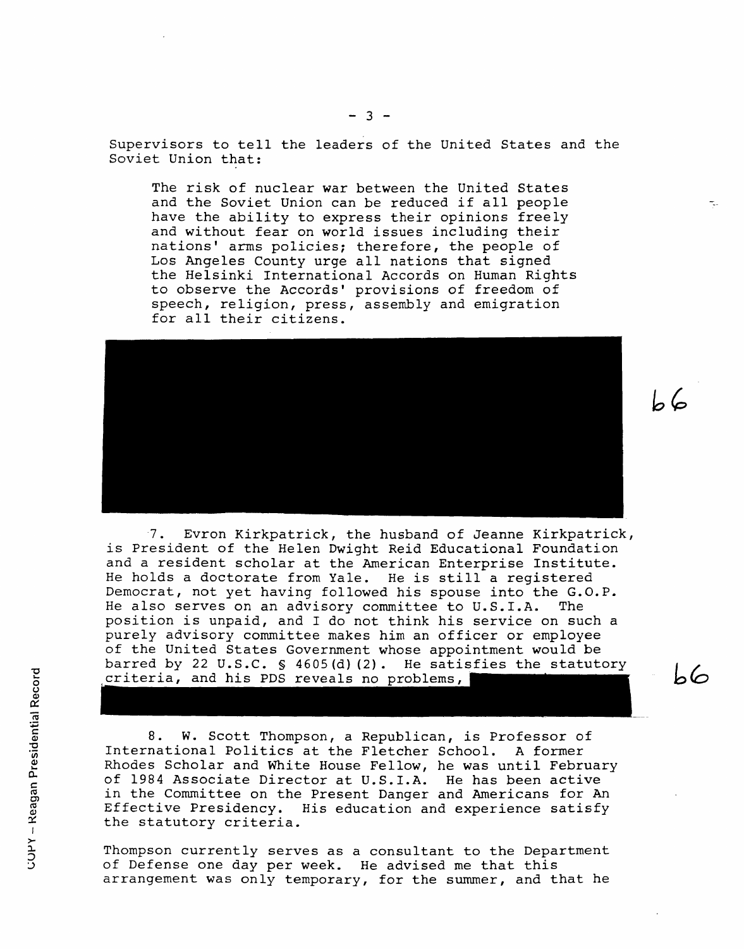Supervisors to tell the leaders of the United States and the Soviet Union that:

The risk of nuclear war between the United States and the Soviet Union can be reduced if all people have the ability to express their opinions freely and without fear on world issues including their nations' arms policies; therefore, the people of Los Angeles County urge all nations that signed the Helsinki International Accords on Human Rights to observe the Accords' provisions of freedom of speech, religion, press, assembly and emigration for all their citizens.



L 6

 $\mathsf{b}\mathsf{6}$ 

-7. Evron Kirkpatrick, the husband of Jeanne Kirkpatrick, is President of the Helen Dwight Reid Educational Foundation and a resident scholar at the American Enterprise Institute. He holds a doctorate from Yale. He is still a registered Democrat, not yet having followed his spouse into the G.O.P. He also serves on an advisory committee to U.S.I.A. The position is unpaid, and I do not think his service on such a purely advisory committee makes him an officer or employee of the United States Government whose appointment would be barred by 22 U.S.C. § 4605(d)(2). He satisfies the statutory criteria, and his PDS reveals no problems,

8. W. Scott Thompson, a Republican, is Professor of International Politics at the Fletcher School. A former Rhodes Scholar and White House Fellow, he was until February of 1984 Associate Director at U.S.I.A. He has been active in the Committee on the Present Danger and Americans for An Effective Presidency. His education and experience satisfy the statutory criteria.

Thompson currently serves as a consultant to the Department of Defense one day per week. He advised me that this arrangement was only temporary, for the summer, and that he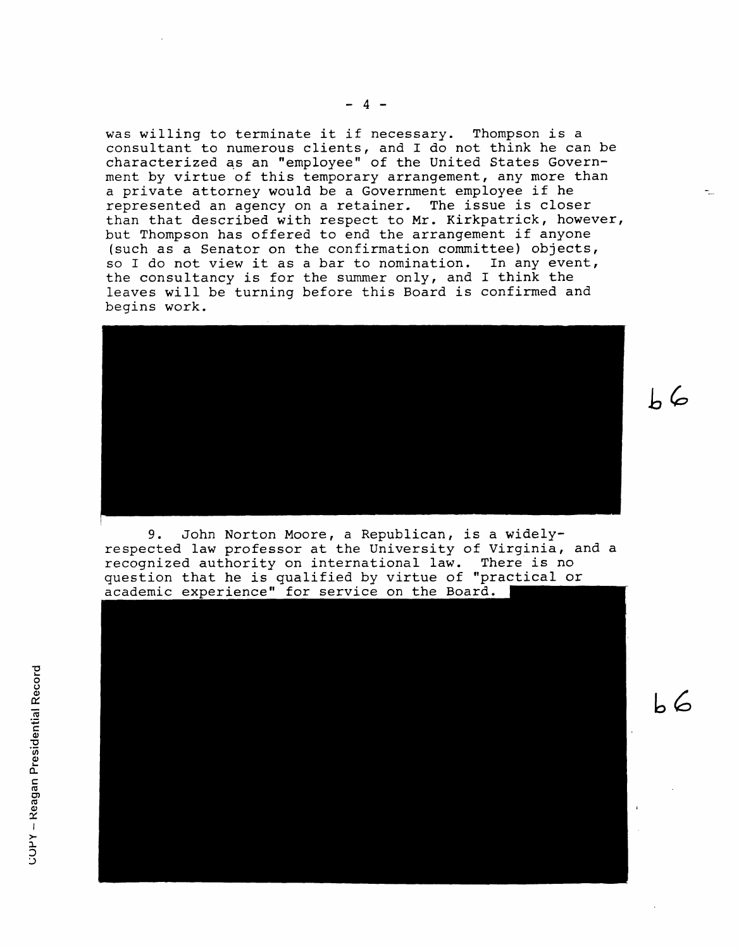was willing to terminate it if necessary. Thompson is a consultant to numerous clients, and I do not think he can be characterized as an "employee" of the United States Government by virtue of this temporary arrangement, any more than a private attorney would be a Government employee if he represented an agency on a retainer. The issue is closer than that described with respect to Mr. Kirkpatrick, however, but Thompson has offered to end the arrangement if anyone (such as a Senator on the confirmation committee) objects, so I do not view it as a bar to nomination. In any event, the consultancy is for the summer only, and I think the leaves will be turning before this Board is confirmed and begins work.



**bc6.,**

*L 6*

I<br>I

9. John Norton Moore, a Republican, is a widelyrespected law professor at the University of Virginia, and a recognized authority on international law. There is no question that he is qualified by virtue of "practical or<br>academic experience" for service on the Board.